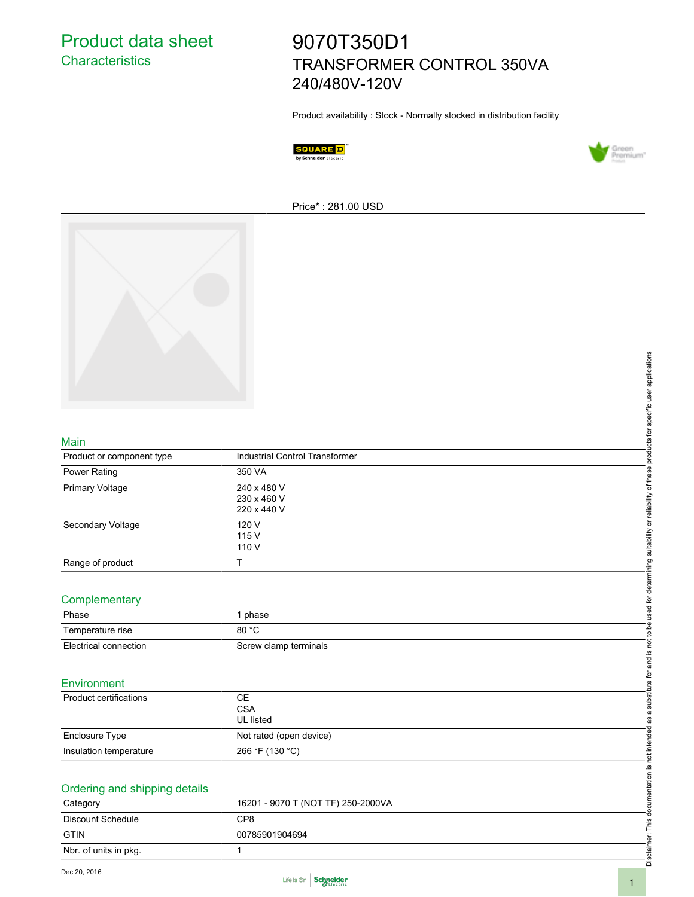Product data sheet **Characteristics** 

# 9070T350D1 TRANSFORMER CONTROL 350VA 240/480V-120V

Product availability : Stock - Normally stocked in distribution facility





Price\* : 281.00 USD



#### Main

|                               |                                             | suitability or reliability of these products for specific user applications |
|-------------------------------|---------------------------------------------|-----------------------------------------------------------------------------|
|                               |                                             |                                                                             |
| Main                          |                                             |                                                                             |
| Product or component type     | Industrial Control Transformer              |                                                                             |
| Power Rating                  | 350 VA                                      |                                                                             |
| Primary Voltage               | 240 x 480 V<br>230 x 460 V<br>220 x 440 V   |                                                                             |
| Secondary Voltage             | 120 V<br>115 V<br>110 V                     |                                                                             |
| Range of product              | $\top$                                      |                                                                             |
| Complementary                 |                                             | is not to be used for determining                                           |
| Phase                         | 1 phase                                     |                                                                             |
| Temperature rise              | 80 °C                                       |                                                                             |
| Electrical connection         | Screw clamp terminals                       |                                                                             |
| Environment                   |                                             | as a substitute for and                                                     |
| <b>Product certifications</b> | <b>CE</b><br><b>CSA</b><br><b>UL</b> listed |                                                                             |
| Enclosure Type                | Not rated (open device)                     |                                                                             |
| Insulation temperature        | 266 °F (130 °C)                             |                                                                             |
|                               |                                             | This documentation is not intended                                          |
| Ordering and shipping details |                                             |                                                                             |
| Category                      | 16201 - 9070 T (NOT TF) 250-2000VA          |                                                                             |
| Discount Schedule             | CP8                                         |                                                                             |
| <b>GTIN</b>                   | 00785901904694                              |                                                                             |
| Nbr. of units in pkg.         | $\mathbf{1}$                                | Disclaimer:                                                                 |

#### **Complementary**

| Phase                 | phase                 |
|-----------------------|-----------------------|
| Temperature rise      | 80 °C                 |
| Electrical connection | Screw clamp terminals |

#### **Environment**

| Product certifications | CЕ<br><b>CSA</b><br><b>UL</b> listed |
|------------------------|--------------------------------------|
| Enclosure Type         | Not rated (open device)              |
| Insulation temperature | 266 °F (130 °C)                      |

| Ordering and shipping details |                                    |  |  |  |
|-------------------------------|------------------------------------|--|--|--|
| Category                      | 16201 - 9070 T (NOT TF) 250-2000VA |  |  |  |
| Discount Schedule             | CP8                                |  |  |  |
| <b>GTIN</b>                   | 00785901904694                     |  |  |  |
| Nbr. of units in pkg.         |                                    |  |  |  |



Disclaimer: This documentation is not intended as a substitute for and is not to be used for determining suitability or reliability of these products for specific user applications